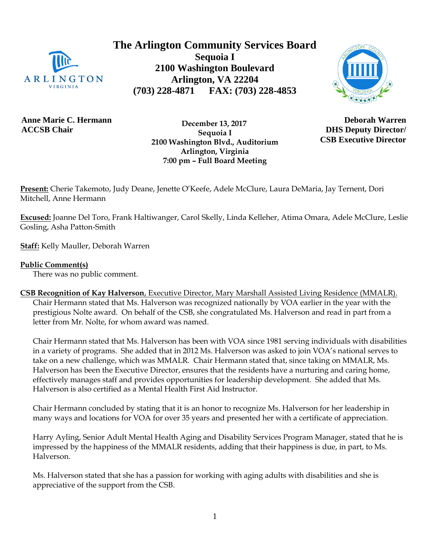

**The Arlington Community Services Board Sequoia I 2100 Washington Boulevard Arlington, VA 22204 (703) 228-4871 FAX: (703) 228-4853**



**Anne Marie C. Hermann ACCSB Chair**

 **December 13, 2017 Sequoia I 2100 Washington Blvd., Auditorium Arlington, Virginia 7:00 pm – Full Board Meeting**

**Deborah Warren DHS Deputy Director/ CSB Executive Director**

**Present:** Cherie Takemoto, Judy Deane, Jenette O'Keefe, Adele McClure, Laura DeMaria, Jay Ternent, Dori Mitchell, Anne Hermann

**Excused:** Joanne Del Toro, Frank Haltiwanger, Carol Skelly, Linda Kelleher, Atima Omara, Adele McClure, Leslie Gosling, Asha Patton-Smith

**Staff:** Kelly Mauller, Deborah Warren

### **Public Comment(s)**

There was no public comment.

**CSB Recognition of Kay Halverson**, Executive Director, Mary Marshall Assisted Living Residence (MMALR). Chair Hermann stated that Ms. Halverson was recognized nationally by VOA earlier in the year with the prestigious Nolte award. On behalf of the CSB, she congratulated Ms. Halverson and read in part from a letter from Mr. Nolte, for whom award was named.

Chair Hermann stated that Ms. Halverson has been with VOA since 1981 serving individuals with disabilities in a variety of programs. She added that in 2012 Ms. Halverson was asked to join VOA's national serves to take on a new challenge, which was MMALR. Chair Hermann stated that, since taking on MMALR, Ms. Halverson has been the Executive Director, ensures that the residents have a nurturing and caring home, effectively manages staff and provides opportunities for leadership development. She added that Ms. Halverson is also certified as a Mental Health First Aid Instructor.

Chair Hermann concluded by stating that it is an honor to recognize Ms. Halverson for her leadership in many ways and locations for VOA for over 35 years and presented her with a certificate of appreciation.

Harry Ayling, Senior Adult Mental Health Aging and Disability Services Program Manager, stated that he is impressed by the happiness of the MMALR residents, adding that their happiness is due, in part, to Ms. Halverson.

Ms. Halverson stated that she has a passion for working with aging adults with disabilities and she is appreciative of the support from the CSB.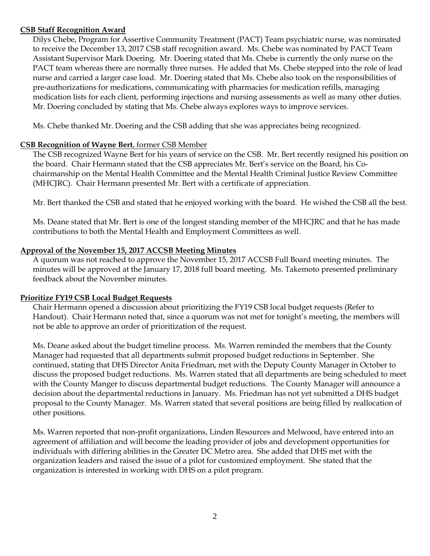#### **CSB Staff Recognition Award**

Dilys Chebe, Program for Assertive Community Treatment (PACT) Team psychiatric nurse, was nominated to receive the December 13, 2017 CSB staff recognition award. Ms. Chebe was nominated by PACT Team Assistant Supervisor Mark Doering. Mr. Doering stated that Ms. Chebe is currently the only nurse on the PACT team whereas there are normally three nurses. He added that Ms. Chebe stepped into the role of lead nurse and carried a larger case load. Mr. Doering stated that Ms. Chebe also took on the responsibilities of pre-authorizations for medications, communicating with pharmacies for medication refills, managing medication lists for each client, performing injections and nursing assessments as well as many other duties. Mr. Doering concluded by stating that Ms. Chebe always explores ways to improve services.

Ms. Chebe thanked Mr. Doering and the CSB adding that she was appreciates being recognized.

### **CSB Recognition of Wayne Bert**, former CSB Member

The CSB recognized Wayne Bert for his years of service on the CSB. Mr. Bert recently resigned his position on the board. Chair Hermann stated that the CSB appreciates Mr. Bert's service on the Board, his Cochairmanship on the Mental Health Committee and the Mental Health Criminal Justice Review Committee (MHCJRC). Chair Hermann presented Mr. Bert with a certificate of appreciation.

Mr. Bert thanked the CSB and stated that he enjoyed working with the board. He wished the CSB all the best.

Ms. Deane stated that Mr. Bert is one of the longest standing member of the MHCJRC and that he has made contributions to both the Mental Health and Employment Committees as well.

### **Approval of the November 15, 2017 ACCSB Meeting Minutes**

A quorum was not reached to approve the November 15, 2017 ACCSB Full Board meeting minutes. The minutes will be approved at the January 17, 2018 full board meeting. Ms. Takemoto presented preliminary feedback about the November minutes.

### **Prioritize FY19 CSB Local Budget Requests**

Chair Hermann opened a discussion about prioritizing the FY19 CSB local budget requests (Refer to Handout). Chair Hermann noted that, since a quorum was not met for tonight's meeting, the members will not be able to approve an order of prioritization of the request.

Ms. Deane asked about the budget timeline process. Ms. Warren reminded the members that the County Manager had requested that all departments submit proposed budget reductions in September. She continued, stating that DHS Director Anita Friedman, met with the Deputy County Manager in October to discuss the proposed budget reductions. Ms. Warren stated that all departments are being scheduled to meet with the County Manger to discuss departmental budget reductions. The County Manager will announce a decision about the departmental reductions in January. Ms. Friedman has not yet submitted a DHS budget proposal to the County Manager. Ms. Warren stated that several positions are being filled by reallocation of other positions.

Ms. Warren reported that non-profit organizations, Linden Resources and Melwood, have entered into an agreement of affiliation and will become the leading provider of jobs and development opportunities for individuals with differing abilities in the Greater DC Metro area. She added that DHS met with the organization leaders and raised the issue of a pilot for customized employment. She stated that the organization is interested in working with DHS on a pilot program.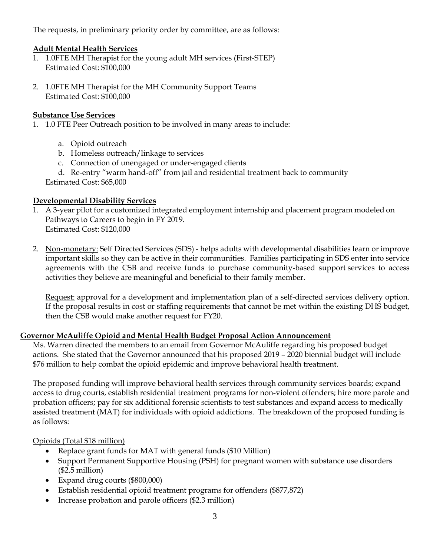The requests, in preliminary priority order by committee, are as follows:

## **Adult Mental Health Services**

- 1. 1.0FTE MH Therapist for the young adult MH services (First-STEP) Estimated Cost: \$100,000
- 2. 1.0FTE MH Therapist for the MH Community Support Teams Estimated Cost: \$100,000

### **Substance Use Services**

- 1. 1.0 FTE Peer Outreach position to be involved in many areas to include:
	- a. Opioid outreach
	- b. Homeless outreach/linkage to services
	- c. Connection of unengaged or under-engaged clients
	- d. Re-entry "warm hand-off" from jail and residential treatment back to community

Estimated Cost: \$65,000

### **Developmental Disability Services**

- 1. A 3-year pilot for a customized integrated employment internship and placement program modeled on Pathways to Careers to begin in FY 2019. Estimated Cost: \$120,000
- 2. Non-monetary: Self Directed Services (SDS) helps adults with developmental disabilities learn or improve important skills so they can be active in their communities. Families participating in SDS enter into service agreements with the CSB and receive funds to purchase community-based support services to access activities they believe are meaningful and beneficial to their family member.

Request: approval for a development and implementation plan of a self-directed services delivery option. If the proposal results in cost or staffing requirements that cannot be met within the existing DHS budget, then the CSB would make another request for FY20.

### **Governor McAuliffe Opioid and Mental Health Budget Proposal Action Announcement**

Ms. Warren directed the members to an email from Governor McAuliffe regarding his proposed budget actions. She stated that the Governor announced that his proposed 2019 – 2020 biennial budget will include \$76 million to help combat the opioid epidemic and improve behavioral health treatment.

The proposed funding will improve behavioral health services through community services boards; expand access to drug courts, establish residential treatment programs for non-violent offenders; hire more parole and probation officers; pay for six additional forensic scientists to test substances and expand access to medically assisted treatment (MAT) for individuals with opioid addictions. The breakdown of the proposed funding is as follows:

# Opioids (Total \$18 million)

- Replace grant funds for MAT with general funds (\$10 Million)
- Support Permanent Supportive Housing (PSH) for pregnant women with substance use disorders (\$2.5 million)
- Expand drug courts (\$800,000)
- Establish residential opioid treatment programs for offenders (\$877,872)
- Increase probation and parole officers (\$2.3 million)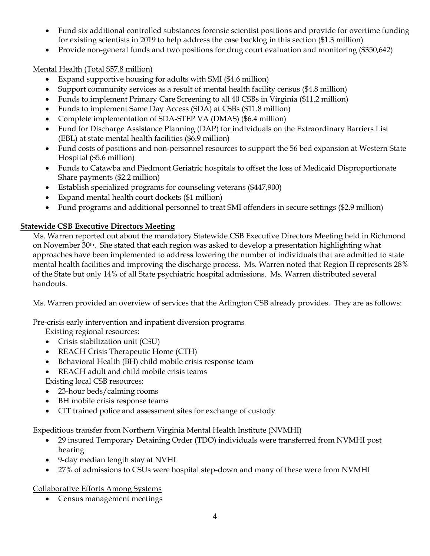- Fund six additional controlled substances forensic scientist positions and provide for overtime funding for existing scientists in 2019 to help address the case backlog in this section (\$1.3 million)
- Provide non-general funds and two positions for drug court evaluation and monitoring (\$350,642)

Mental Health (Total \$57.8 million)

- Expand supportive housing for adults with SMI (\$4.6 million)
- Support community services as a result of mental health facility census (\$4.8 million)
- Funds to implement Primary Care Screening to all 40 CSBs in Virginia (\$11.2 million)
- Funds to implement Same Day Access (SDA) at CSBs (\$11.8 million)
- Complete implementation of SDA-STEP VA (DMAS) (\$6.4 million)
- Fund for Discharge Assistance Planning (DAP) for individuals on the Extraordinary Barriers List (EBL) at state mental health facilities (\$6.9 million)
- Fund costs of positions and non-personnel resources to support the 56 bed expansion at Western State Hospital (\$5.6 million)
- Funds to Catawba and Piedmont Geriatric hospitals to offset the loss of Medicaid Disproportionate Share payments (\$2.2 million)
- Establish specialized programs for counseling veterans (\$447,900)
- Expand mental health court dockets (\$1 million)
- Fund programs and additional personnel to treat SMI offenders in secure settings (\$2.9 million)

# **Statewide CSB Executive Directors Meeting**

Ms. Warren reported out about the mandatory Statewide CSB Executive Directors Meeting held in Richmond on November 30<sup>th</sup>. She stated that each region was asked to develop a presentation highlighting what approaches have been implemented to address lowering the number of individuals that are admitted to state mental health facilities and improving the discharge process. Ms. Warren noted that Region II represents 28% of the State but only 14% of all State psychiatric hospital admissions. Ms. Warren distributed several handouts.

Ms. Warren provided an overview of services that the Arlington CSB already provides. They are as follows:

Pre-crisis early intervention and inpatient diversion programs

Existing regional resources:

- Crisis stabilization unit (CSU)
- REACH Crisis Therapeutic Home (CTH)
- Behavioral Health (BH) child mobile crisis response team
- REACH adult and child mobile crisis teams
- Existing local CSB resources:
- 23-hour beds/calming rooms
- BH mobile crisis response teams
- CIT trained police and assessment sites for exchange of custody

# Expeditious transfer from Northern Virginia Mental Health Institute (NVMHI)

- 29 insured Temporary Detaining Order (TDO) individuals were transferred from NVMHI post hearing
- 9-day median length stay at NVHI
- 27% of admissions to CSUs were hospital step-down and many of these were from NVMHI

Collaborative Efforts Among Systems

Census management meetings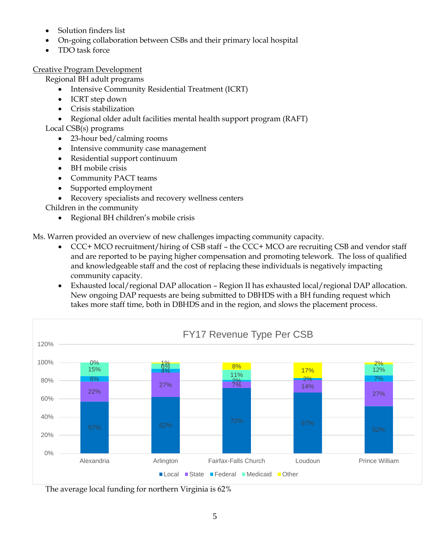- Solution finders list
- On-going collaboration between CSBs and their primary local hospital
- TDO task force

Creative Program Development

Regional BH adult programs

- Intensive Community Residential Treatment (ICRT)
- ICRT step down
- Crisis stabilization
- Regional older adult facilities mental health support program (RAFT)

Local CSB(s) programs

- 23-hour bed/calming rooms
- Intensive community case management
- Residential support continuum
- BH mobile crisis
- Community PACT teams
- Supported employment

Recovery specialists and recovery wellness centers

Children in the community

Regional BH children's mobile crisis

Ms. Warren provided an overview of new challenges impacting community capacity.

- CCC+ MCO recruitment/hiring of CSB staff the CCC+ MCO are recruiting CSB and vendor staff and are reported to be paying higher compensation and promoting telework. The loss of qualified and knowledgeable staff and the cost of replacing these individuals is negatively impacting community capacity.
- Exhausted local/regional DAP allocation Region II has exhausted local/regional DAP allocation. New ongoing DAP requests are being submitted to DBHDS with a BH funding request which takes more staff time, both in DBHDS and in the region, and slows the placement process.



The average local funding for northern Virginia is 62%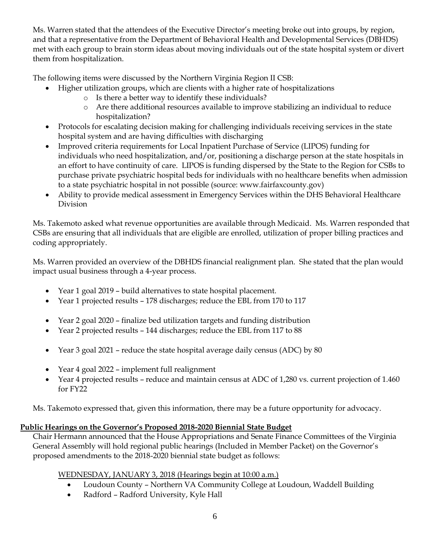Ms. Warren stated that the attendees of the Executive Director's meeting broke out into groups, by region, and that a representative from the Department of Behavioral Health and Developmental Services (DBHDS) met with each group to brain storm ideas about moving individuals out of the state hospital system or divert them from hospitalization.

The following items were discussed by the Northern Virginia Region II CSB:

- Higher utilization groups, which are clients with a higher rate of hospitalizations
	- o Is there a better way to identify these individuals?
	- o Are there additional resources available to improve stabilizing an individual to reduce hospitalization?
- Protocols for escalating decision making for challenging individuals receiving services in the state hospital system and are having difficulties with discharging
- Improved criteria requirements for Local Inpatient Purchase of Service (LIPOS) funding for individuals who need hospitalization, and/or, positioning a discharge person at the state hospitals in an effort to have continuity of care. LIPOS is funding dispersed by the State to the Region for CSBs to purchase private psychiatric hospital beds for individuals with no healthcare benefits when admission to a state psychiatric hospital in not possible (source: www.fairfaxcounty.gov)
- Ability to provide medical assessment in Emergency Services within the DHS Behavioral Healthcare Division

Ms. Takemoto asked what revenue opportunities are available through Medicaid. Ms. Warren responded that CSBs are ensuring that all individuals that are eligible are enrolled, utilization of proper billing practices and coding appropriately.

Ms. Warren provided an overview of the DBHDS financial realignment plan. She stated that the plan would impact usual business through a 4-year process.

- Year 1 goal 2019 build alternatives to state hospital placement.
- Year 1 projected results 178 discharges; reduce the EBL from 170 to 117
- Year 2 goal 2020 finalize bed utilization targets and funding distribution
- Year 2 projected results 144 discharges; reduce the EBL from 117 to 88
- Year 3 goal 2021 reduce the state hospital average daily census (ADC) by 80
- Year 4 goal 2022 implement full realignment
- Year 4 projected results reduce and maintain census at ADC of 1,280 vs. current projection of 1.460 for FY22

Ms. Takemoto expressed that, given this information, there may be a future opportunity for advocacy.

# **Public Hearings on the Governor's Proposed 2018-2020 Biennial State Budget**

Chair Hermann announced that the House Appropriations and Senate Finance Committees of the Virginia General Assembly will hold regional public hearings (Included in Member Packet) on the Governor's proposed amendments to the 2018-2020 biennial state budget as follows:

WEDNESDAY, JANUARY 3, 2018 (Hearings begin at 10:00 a.m.)

- Loudoun County Northern VA Community College at Loudoun, Waddell Building
- Radford Radford University, Kyle Hall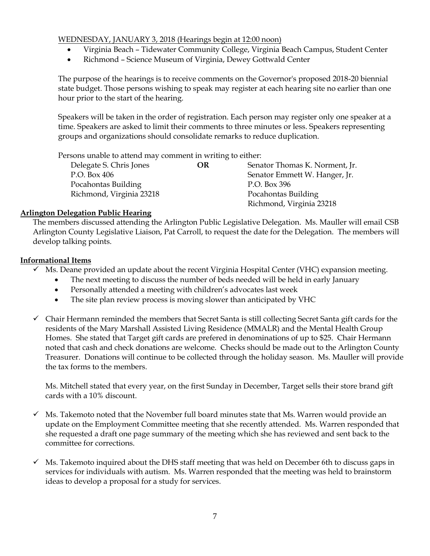### WEDNESDAY, JANUARY 3, 2018 (Hearings begin at 12:00 noon)

- Virginia Beach Tidewater Community College, Virginia Beach Campus, Student Center
- Richmond Science Museum of Virginia, Dewey Gottwald Center

The purpose of the hearings is to receive comments on the Governor's proposed 2018-20 biennial state budget. Those persons wishing to speak may register at each hearing site no earlier than one hour prior to the start of the hearing.

Speakers will be taken in the order of registration. Each person may register only one speaker at a time. Speakers are asked to limit their comments to three minutes or less. Speakers representing groups and organizations should consolidate remarks to reduce duplication.

Persons unable to attend may comment in writing to either:

| Delegate S. Chris Jones  | OR | Senator Thomas K. Norment, Jr. |
|--------------------------|----|--------------------------------|
| P.O. Box 406             |    | Senator Emmett W. Hanger, Jr.  |
| Pocahontas Building      |    | P.O. Box 396                   |
| Richmond, Virginia 23218 |    | Pocahontas Building            |
|                          |    | Richmond, Virginia 23218       |

### **Arlington Delegation Public Hearing**

The members discussed attending the Arlington Public Legislative Delegation. Ms. Mauller will email CSB Arlington County Legislative Liaison, Pat Carroll, to request the date for the Delegation. The members will develop talking points.

### **Informational Items**

- $\checkmark$  Ms. Deane provided an update about the recent Virginia Hospital Center (VHC) expansion meeting.
	- The next meeting to discuss the number of beds needed will be held in early January
	- Personally attended a meeting with children's advocates last week
	- The site plan review process is moving slower than anticipated by VHC
- $\checkmark$  Chair Hermann reminded the members that Secret Santa is still collecting Secret Santa gift cards for the residents of the Mary Marshall Assisted Living Residence (MMALR) and the Mental Health Group Homes. She stated that Target gift cards are prefered in denominations of up to \$25. Chair Hermann noted that cash and check donations are welcome. Checks should be made out to the Arlington County Treasurer. Donations will continue to be collected through the holiday season. Ms. Mauller will provide the tax forms to the members.

Ms. Mitchell stated that every year, on the first Sunday in December, Target sells their store brand gift cards with a 10% discount.

- $\checkmark$  Ms. Takemoto noted that the November full board minutes state that Ms. Warren would provide an update on the Employment Committee meeting that she recently attended. Ms. Warren responded that she requested a draft one page summary of the meeting which she has reviewed and sent back to the committee for corrections.
- $\checkmark$  Ms. Takemoto inquired about the DHS staff meeting that was held on December 6th to discuss gaps in services for individuals with autism. Ms. Warren responded that the meeting was held to brainstorm ideas to develop a proposal for a study for services.